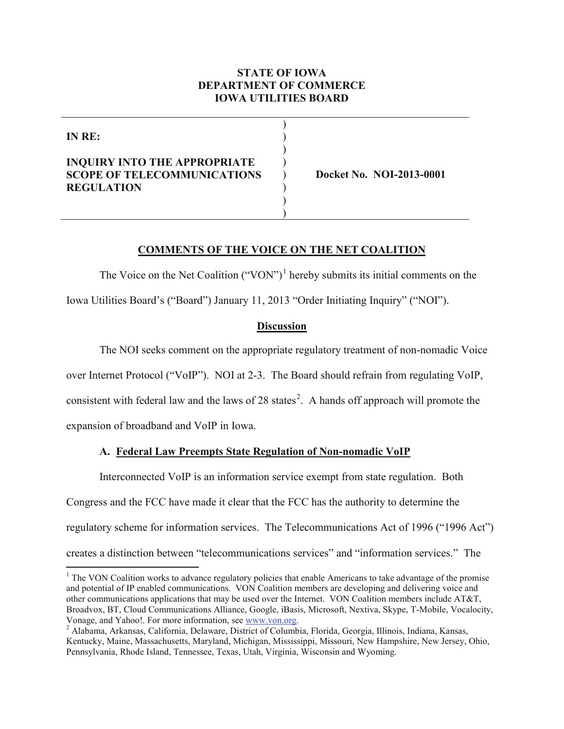### **STATE OF IOWA DEPARTMENT OF COMMERCE IOWA UTILITIES BOARD**

) ) ) )

> ) ) )

**IN RE:**

# **INQUIRY INTO THE APPROPRIATE SCOPE OF TELECOMMUNICATIONS REGULATION**

) **Docket No. NOI-2013-0001**

#### **COMMENTS OF THE VOICE ON THE NET COALITION**

The Voice on the Net Coalition  $("VON")^1$  $("VON")^1$  hereby submits its initial comments on the Iowa Utilities Board's ("Board") January 11, 2013 "Order Initiating Inquiry" ("NOI").

### **Discussion**

The NOI seeks comment on the appropriate regulatory treatment of non-nomadic Voice

over Internet Protocol ("VoIP"). NOI at 2-3. The Board should refrain from regulating VoIP,

consistent with federal law and the laws of [2](#page-0-1)8 states<sup>2</sup>. A hands off approach will promote the

expansion of broadband and VoIP in Iowa.

# **A. Federal Law Preempts State Regulation of Non-nomadic VoIP**

Interconnected VoIP is an information service exempt from state regulation. Both Congress and the FCC have made it clear that the FCC has the authority to determine the regulatory scheme for information services. The Telecommunications Act of 1996 ("1996 Act") creates a distinction between "telecommunications services" and "information services." The

<span id="page-0-0"></span> $1$  The VON Coalition works to advance regulatory policies that enable Americans to take advantage of the promise and potential of IP enabled communications. VON Coalition members are developing and delivering voice and other communications applications that may be used over the Internet. VON Coalition members include AT&T, Broadvox, BT, Cloud Communications Alliance, Google, iBasis, Microsoft, Nextiva, Skype, T-Mobile, Vocalocity,

<span id="page-0-1"></span>Vonage, and Yahoo!. For more information, see [www.von.org.](http://www.von.org/)<br><sup>2</sup> Alabama, Arkansas, California, Delaware, District of Columbia, Florida, Georgia, Illinois, Indiana, Kansas, Kentucky, Maine, Massachusetts, Maryland, Michigan, Mississippi, Missouri, New Hampshire, New Jersey, Ohio, Pennsylvania, Rhode Island, Tennessee, Texas, Utah, Virginia, Wisconsin and Wyoming.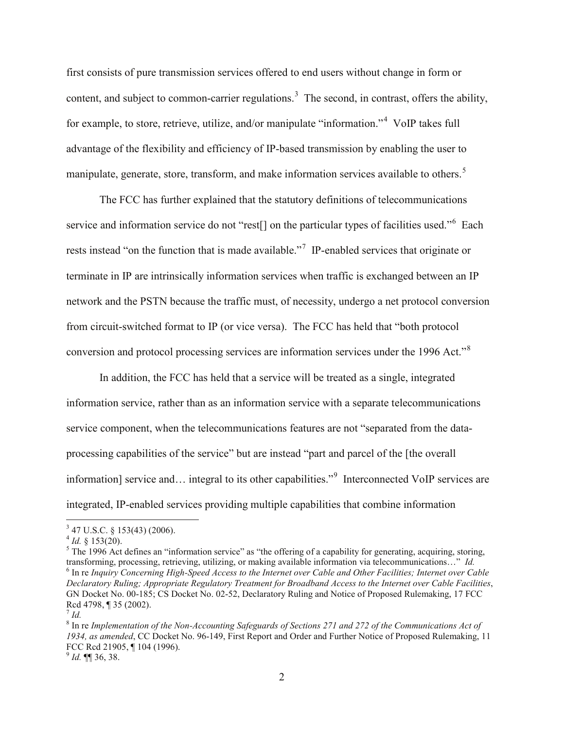first consists of pure transmission services offered to end users without change in form or content, and subject to common-carrier regulations.<sup>[3](#page-1-0)</sup> The second, in contrast, offers the ability, for example, to store, retrieve, utilize, and/or manipulate "information."<sup>[4](#page-1-1)</sup> VoIP takes full advantage of the flexibility and efficiency of IP-based transmission by enabling the user to manipulate, generate, store, transform, and make information services available to others.<sup>[5](#page-1-2)</sup>

The FCC has further explained that the statutory definitions of telecommunications service and information service do not "rest[] on the particular types of facilities used."<sup>[6](#page-1-3)</sup> Each rests instead "on the function that is made available."<sup>[7](#page-1-4)</sup> IP-enabled services that originate or terminate in IP are intrinsically information services when traffic is exchanged between an IP network and the PSTN because the traffic must, of necessity, undergo a net protocol conversion from circuit-switched format to IP (or vice versa). The FCC has held that "both protocol conversion and protocol processing services are information services under the 1996 Act."[8](#page-1-5)

In addition, the FCC has held that a service will be treated as a single, integrated information service, rather than as an information service with a separate telecommunications service component, when the telecommunications features are not "separated from the dataprocessing capabilities of the service" but are instead "part and parcel of the [the overall information] service and... integral to its other capabilities."<sup>[9](#page-1-6)</sup> Interconnected VoIP services are integrated, IP-enabled services providing multiple capabilities that combine information

<span id="page-1-0"></span> $^3$  47 U.S.C. § 153(43) (2006).<br> $^4$  *Id.* § 153(20).

<span id="page-1-1"></span>

<span id="page-1-3"></span><span id="page-1-2"></span><sup>&</sup>lt;sup>5</sup> The 1996 Act defines an "information service" as "the offering of a capability for generating, acquiring, storing, transforming, processing, retrieving, utilizing, or making available information via telecommunication  $6$  In re Inquiry Concerning High-Speed Access to the Internet over Cable and Other Facilities; Internet over Cable *Declaratory Ruling; Appropriate Regulatory Treatment for Broadband Access to the Internet over Cable Facilities*, GN Docket No. 00-185; CS Docket No. 02-52, Declaratory Ruling and Notice of Proposed Rulemaking, 17 FCC Rcd 4798, ¶ 35 (2002). <sup>7</sup> *Id.*

<span id="page-1-4"></span>

<span id="page-1-5"></span><sup>8</sup> In re *Implementation of the Non-Accounting Safeguards of Sections 271 and 272 of the Communications Act of 1934, as amended*, CC Docket No. 96-149, First Report and Order and Further Notice of Proposed Rulemaking, 11 FCC Rcd 21905, ¶ 104 (1996). <sup>9</sup> *Id.* ¶¶ 36, 38.

<span id="page-1-6"></span>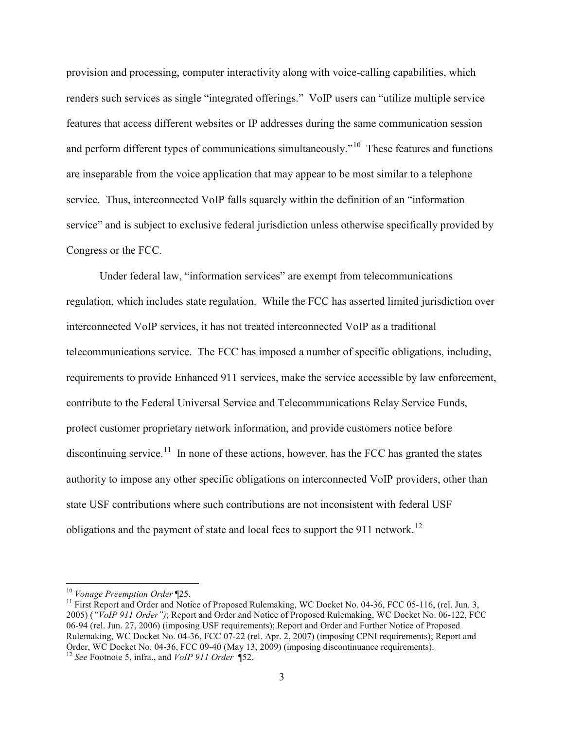provision and processing, computer interactivity along with voice-calling capabilities, which renders such services as single "integrated offerings." VoIP users can "utilize multiple service features that access different websites or IP addresses during the same communication session and perform different types of communications simultaneously."<sup>10</sup> These features and functions are inseparable from the voice application that may appear to be most similar to a telephone service. Thus, interconnected VoIP falls squarely within the definition of an "information service" and is subject to exclusive federal jurisdiction unless otherwise specifically provided by Congress or the FCC.

Under federal law, "information services" are exempt from telecommunications regulation, which includes state regulation. While the FCC has asserted limited jurisdiction over interconnected VoIP services, it has not treated interconnected VoIP as a traditional telecommunications service. The FCC has imposed a number of specific obligations, including, requirements to provide Enhanced 911 services, make the service accessible by law enforcement, contribute to the Federal Universal Service and Telecommunications Relay Service Funds, protect customer proprietary network information, and provide customers notice before discontinuing service.<sup>[11](#page-2-1)</sup> In none of these actions, however, has the FCC has granted the states authority to impose any other specific obligations on interconnected VoIP providers, other than state USF contributions where such contributions are not inconsistent with federal USF obligations and the payment of state and local fees to support the 911 network.<sup>[12](#page-2-2)</sup>

<span id="page-2-2"></span>

<span id="page-2-1"></span><span id="page-2-0"></span><sup>&</sup>lt;sup>10</sup> *Vonage Preemption Order* ¶25.<br><sup>11</sup> First Report and Order and Notice of Proposed Rulemaking, WC Docket No. 04-36, FCC 05-116, (rel. Jun. 3, 2005) (*"VoIP 911 Order")*; Report and Order and Notice of Proposed Rulemaking, WC Docket No. 06-122, FCC 06-94 (rel. Jun. 27, 2006) (imposing USF requirements); Report and Order and Further Notice of Proposed Rulemaking, WC Docket No. 04-36, FCC 07-22 (rel. Apr. 2, 2007) (imposing CPNI requirements); Report and Order, WC Docket No. 04-36, FCC 09-40 (May 13, 2009) (imposing discontinuance requirements). <sup>12</sup> *See* Footnote 5, infra., and *VoIP 911 Order* ¶52.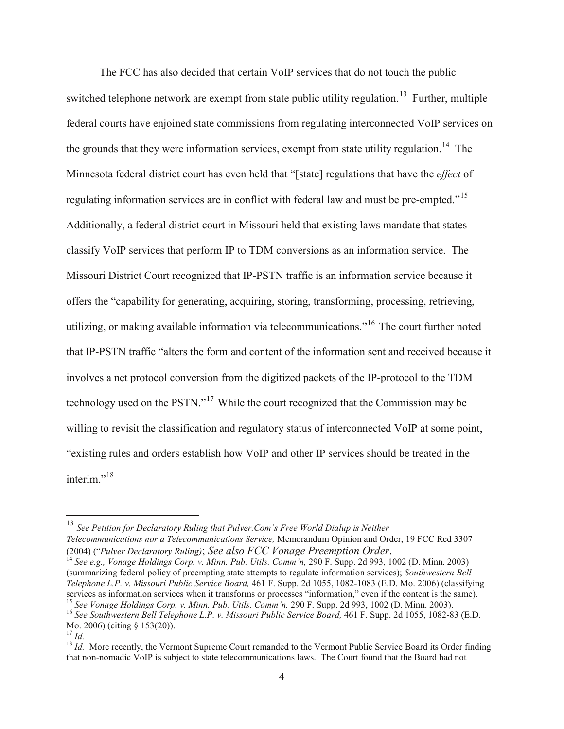The FCC has also decided that certain VoIP services that do not touch the public switched telephone network are exempt from state public utility regulation.<sup>13</sup> Further, multiple federal courts have enjoined state commissions from regulating interconnected VoIP services on the grounds that they were information services, exempt from state utility regulation.<sup>[14](#page-3-1)</sup> The Minnesota federal district court has even held that "[state] regulations that have the *effect* of regulating information services are in conflict with federal law and must be pre-empted."[15](#page-3-2) Additionally, a federal district court in Missouri held that existing laws mandate that states classify VoIP services that perform IP to TDM conversions as an information service. The Missouri District Court recognized that IP-PSTN traffic is an information service because it offers the "capability for generating, acquiring, storing, transforming, processing, retrieving, utilizing, or making available information via telecommunications."[16](#page-3-3) The court further noted that IP-PSTN traffic "alters the form and content of the information sent and received because it involves a net protocol conversion from the digitized packets of the IP-protocol to the TDM technology used on the PSTN."[17](#page-3-4) While the court recognized that the Commission may be willing to revisit the classification and regulatory status of interconnected VoIP at some point, "existing rules and orders establish how VoIP and other IP services should be treated in the interim<sup>"[18](#page-3-5)</sup>

<span id="page-3-1"></span><sup>14</sup> See e.g., *Vonage Holdings Corp. v. Minn. Pub. Utils. Comm'n,* 290 F. Supp. 2d 993, 1002 (D. Minn. 2003) (summarizing federal policy of preempting state attempts to regulate information services); *Southwestern Bell Telephone L.P. v. Missouri Public Service Board,* 461 F. Supp. 2d 1055, 1082-1083 (E.D. Mo. 2006) (classifying services as information services when it transforms or processes "information," even if the content is the same).<br><sup>15</sup> See Vonage Holdings Corp. v. Minn. Pub. Utils. Comm'n, 290 F. Supp. 2d 993, 1002 (D. Minn. 2003). <sup>16</sup> See Southwestern Bell Telephone L.P. v. Missouri Public Service Board, 461 F. Supp. 2d 1055, 1082-83 (E.D.

<span id="page-3-0"></span> <sup>13</sup> *See Petition for Declaratory Ruling that Pulver.Com's Free World Dialup is Neither Telecommunications nor a Telecommunications Service, Memorandum Opinion and Order, 19 FCC Rcd 3307* (2004) ("*Pulver Declaratory Ruling)*; *See also FCC Vonage Preemption Order.* 

<span id="page-3-3"></span><span id="page-3-2"></span>Mo. 2006) (citing § 153(20)).<br><sup>17</sup> *Id.*<br><sup>18</sup> *Id.* More recently, the Vermont Supreme Court remanded to the Vermont Public Service Board its Order finding

<span id="page-3-5"></span><span id="page-3-4"></span>that non-nomadic VoIP is subject to state telecommunications laws. The Court found that the Board had not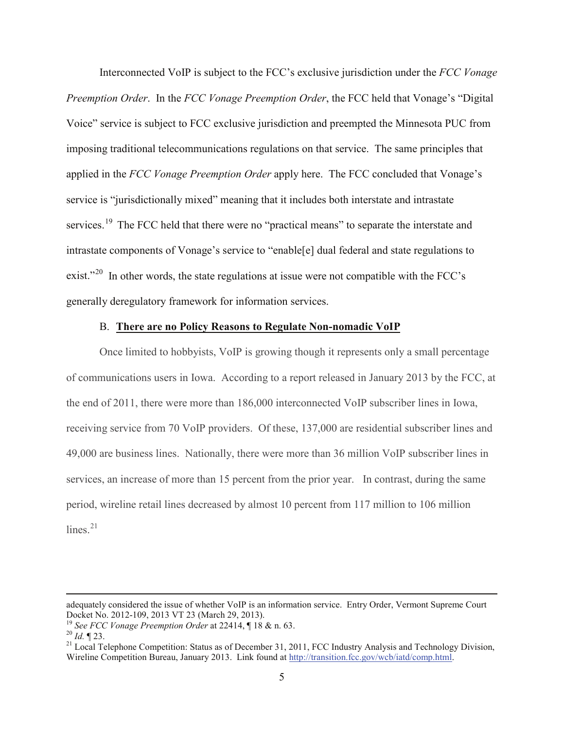Interconnected VoIP is subject to the FCC's exclusive jurisdiction under the *FCC Vonage Preemption Order*. In the *FCC Vonage Preemption Order*, the FCC held that Vonage's "Digital Voice" service is subject to FCC exclusive jurisdiction and preempted the Minnesota PUC from imposing traditional telecommunications regulations on that service. The same principles that applied in the *FCC Vonage Preemption Order* apply here. The FCC concluded that Vonage's service is "jurisdictionally mixed" meaning that it includes both interstate and intrastate services.<sup>[19](#page-4-0)</sup> The FCC held that there were no "practical means" to separate the interstate and intrastate components of Vonage's service to "enable[e] dual federal and state regulations to exist."<sup>20</sup> In other words, the state regulations at issue were not compatible with the FCC's generally deregulatory framework for information services.

#### B. **There are no Policy Reasons to Regulate Non-nomadic VoIP**

Once limited to hobbyists, VoIP is growing though it represents only a small percentage of communications users in Iowa. According to a report released in January 2013 by the FCC, at the end of 2011, there were more than 186,000 interconnected VoIP subscriber lines in Iowa, receiving service from 70 VoIP providers. Of these, 137,000 are residential subscriber lines and 49,000 are business lines. Nationally, there were more than 36 million VoIP subscriber lines in services, an increase of more than 15 percent from the prior year. In contrast, during the same period, wireline retail lines decreased by almost 10 percent from 117 million to 106 million lines $^{21}$  $^{21}$  $^{21}$ 

 $\overline{a}$ 

adequately considered the issue of whether VoIP is an information service. Entry Order, Vermont Supreme Court Docket No. 2012-109, 2013 VT 23 (March 29, 2013).

<span id="page-4-2"></span><span id="page-4-1"></span>

<span id="page-4-0"></span><sup>&</sup>lt;sup>19</sup> See FCC Vonage Preemption Order at 22414,  $\P$  18 & n. 63.<br><sup>20</sup> Id.  $\P$  23.<br><sup>21</sup> Local Telephone Competition: Status as of December 31, 2011, FCC Industry Analysis and Technology Division, Wireline Competition Bureau, January 2013. Link found at [http://transition.fcc.gov/wcb/iatd/comp.html.](http://transition.fcc.gov/wcb/iatd/comp.html)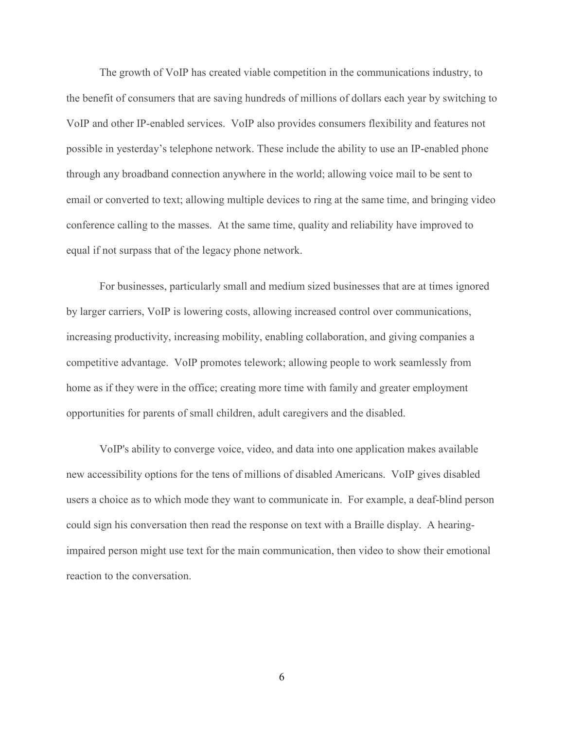The growth of VoIP has created viable competition in the communications industry, to the benefit of consumers that are saving hundreds of millions of dollars each year by switching to VoIP and other IP-enabled services. VoIP also provides consumers flexibility and features not possible in yesterday's telephone network. These include the ability to use an IP-enabled phone through any broadband connection anywhere in the world; allowing voice mail to be sent to email or converted to text; allowing multiple devices to ring at the same time, and bringing video conference calling to the masses. At the same time, quality and reliability have improved to equal if not surpass that of the legacy phone network.

For businesses, particularly small and medium sized businesses that are at times ignored by larger carriers, VoIP is lowering costs, allowing increased control over communications, increasing productivity, increasing mobility, enabling collaboration, and giving companies a competitive advantage. VoIP promotes telework; allowing people to work seamlessly from home as if they were in the office; creating more time with family and greater employment opportunities for parents of small children, adult caregivers and the disabled.

VoIP's ability to converge voice, video, and data into one application makes available new accessibility options for the tens of millions of disabled Americans. VoIP gives disabled users a choice as to which mode they want to communicate in. For example, a deaf-blind person could sign his conversation then read the response on text with a Braille display. A hearingimpaired person might use text for the main communication, then video to show their emotional reaction to the conversation.

6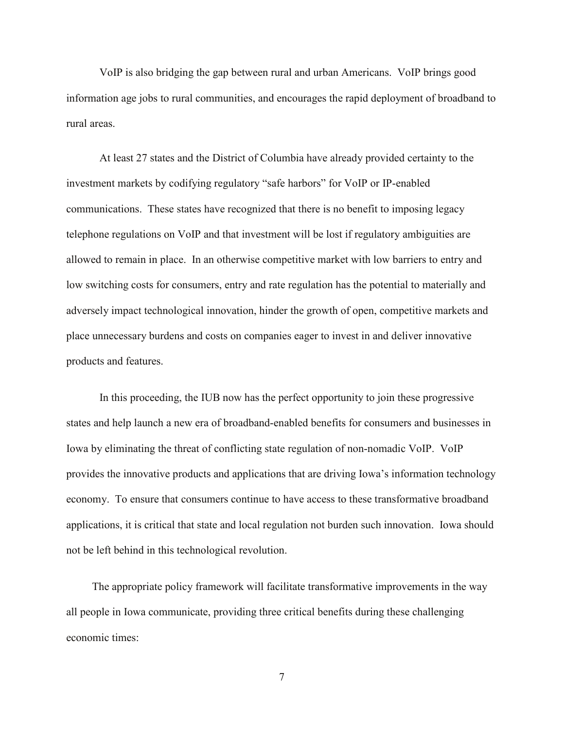VoIP is also bridging the gap between rural and urban Americans. VoIP brings good information age jobs to rural communities, and encourages the rapid deployment of broadband to rural areas.

At least 27 states and the District of Columbia have already provided certainty to the investment markets by codifying regulatory "safe harbors" for VoIP or IP-enabled communications. These states have recognized that there is no benefit to imposing legacy telephone regulations on VoIP and that investment will be lost if regulatory ambiguities are allowed to remain in place. In an otherwise competitive market with low barriers to entry and low switching costs for consumers, entry and rate regulation has the potential to materially and adversely impact technological innovation, hinder the growth of open, competitive markets and place unnecessary burdens and costs on companies eager to invest in and deliver innovative products and features.

In this proceeding, the IUB now has the perfect opportunity to join these progressive states and help launch a new era of broadband-enabled benefits for consumers and businesses in Iowa by eliminating the threat of conflicting state regulation of non-nomadic VoIP. VoIP provides the innovative products and applications that are driving Iowa's information technology economy. To ensure that consumers continue to have access to these transformative broadband applications, it is critical that state and local regulation not burden such innovation. Iowa should not be left behind in this technological revolution.

The appropriate policy framework will facilitate transformative improvements in the way all people in Iowa communicate, providing three critical benefits during these challenging economic times:

7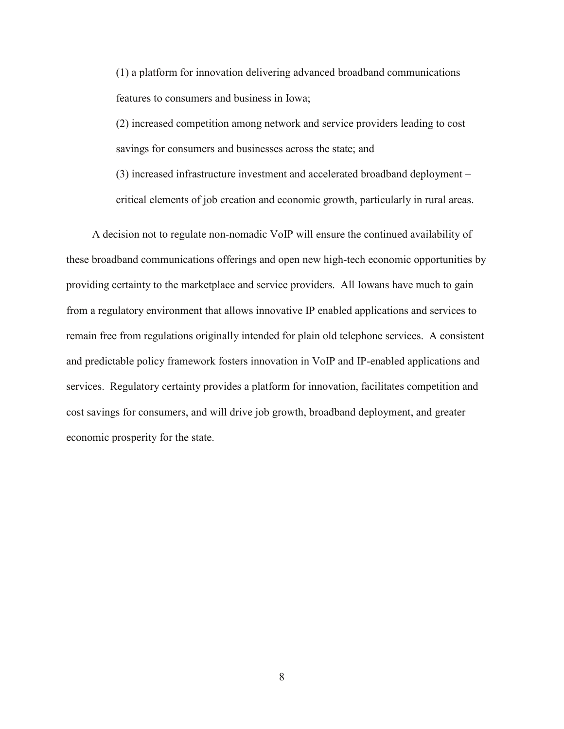(1) a platform for innovation delivering advanced broadband communications features to consumers and business in Iowa;

(2) increased competition among network and service providers leading to cost savings for consumers and businesses across the state; and

(3) increased infrastructure investment and accelerated broadband deployment – critical elements of job creation and economic growth, particularly in rural areas.

A decision not to regulate non-nomadic VoIP will ensure the continued availability of these broadband communications offerings and open new high-tech economic opportunities by providing certainty to the marketplace and service providers. All Iowans have much to gain from a regulatory environment that allows innovative IP enabled applications and services to remain free from regulations originally intended for plain old telephone services. A consistent and predictable policy framework fosters innovation in VoIP and IP-enabled applications and services. Regulatory certainty provides a platform for innovation, facilitates competition and cost savings for consumers, and will drive job growth, broadband deployment, and greater economic prosperity for the state.